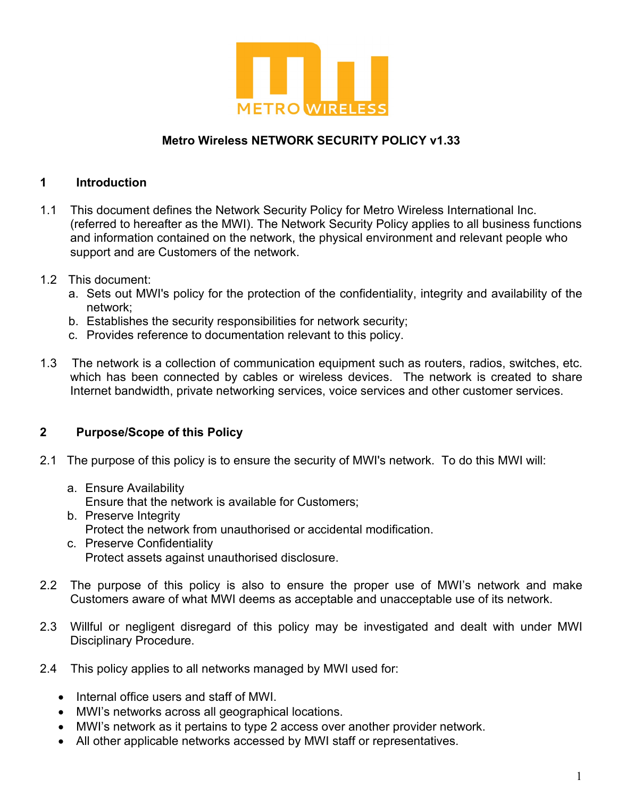

#### **Metro Wireless NETWORK SECURITY POLICY v1.33**

#### **1 Introduction**

- 1.1 This document defines the Network Security Policy for Metro Wireless International Inc. (referred to hereafter as the MWI). The Network Security Policy applies to all business functions and information contained on the network, the physical environment and relevant people who support and are Customers of the network.
- 1.2 This document:
	- a. Sets out MWI's policy for the protection of the confidentiality, integrity and availability of the network;
	- b. Establishes the security responsibilities for network security;
	- c. Provides reference to documentation relevant to this policy.
- 1.3 The network is a collection of communication equipment such as routers, radios, switches, etc. which has been connected by cables or wireless devices. The network is created to share Internet bandwidth, private networking services, voice services and other customer services.

#### **2 Purpose/Scope of this Policy**

- 2.1 The purpose of this policy is to ensure the security of MWI's network. To do this MWI will:
	- a. Ensure Availability

Ensure that the network is available for Customers;

- b. Preserve Integrity Protect the network from unauthorised or accidental modification.
- c. Preserve Confidentiality Protect assets against unauthorised disclosure.
- 2.2 The purpose of this policy is also to ensure the proper use of MWI's network and make Customers aware of what MWI deems as acceptable and unacceptable use of its network.
- 2.3 Willful or negligent disregard of this policy may be investigated and dealt with under MWI Disciplinary Procedure.
- 2.4 This policy applies to all networks managed by MWI used for:
	- Internal office users and staff of MWI.
	- MWI's networks across all geographical locations.
	- MWI's network as it pertains to type 2 access over another provider network.
	- All other applicable networks accessed by MWI staff or representatives.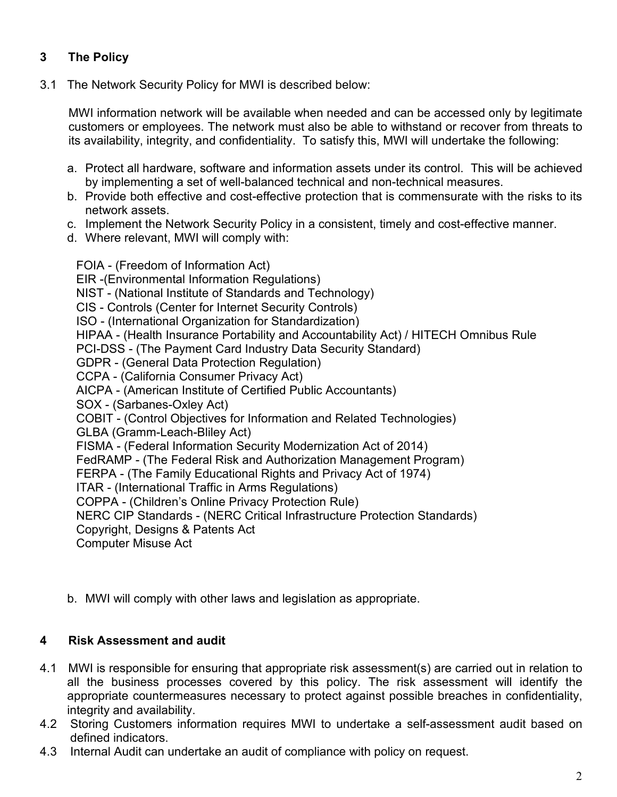# **3 The Policy**

3.1 The Network Security Policy for MWI is described below:

MWI information network will be available when needed and can be accessed only by legitimate customers or employees. The network must also be able to withstand or recover from threats to its availability, integrity, and confidentiality. To satisfy this, MWI will undertake the following:

- a. Protect all hardware, software and information assets under its control. This will be achieved by implementing a set of well-balanced technical and non-technical measures.
- b. Provide both effective and cost-effective protection that is commensurate with the risks to its network assets.
- c. Implement the Network Security Policy in a consistent, timely and cost-effective manner.
- d. Where relevant, MWI will comply with:

FOIA - (Freedom of Information Act) EIR -(Environmental Information Regulations) NIST - (National Institute of Standards and Technology) CIS - Controls (Center for Internet Security Controls) ISO - (International Organization for Standardization) HIPAA - (Health Insurance Portability and Accountability Act) / HITECH Omnibus Rule PCI-DSS - (The Payment Card Industry Data Security Standard) GDPR - (General Data Protection Regulation) CCPA - (California Consumer Privacy Act) AICPA - (American Institute of Certified Public Accountants) SOX - (Sarbanes-Oxley Act) COBIT - (Control Objectives for Information and Related Technologies) GLBA (Gramm-Leach-Bliley Act) FISMA - (Federal Information Security Modernization Act of 2014) FedRAMP - (The Federal Risk and Authorization Management Program) FERPA - (The Family Educational Rights and Privacy Act of 1974) ITAR - (International Traffic in Arms Regulations) COPPA - (Children's Online Privacy Protection Rule) NERC CIP Standards - (NERC Critical Infrastructure Protection Standards) Copyright, Designs & Patents Act Computer Misuse Act

b. MWI will comply with other laws and legislation as appropriate.

#### **4 Risk Assessment and audit**

- 4.1 MWI is responsible for ensuring that appropriate risk assessment(s) are carried out in relation to all the business processes covered by this policy. The risk assessment will identify the appropriate countermeasures necessary to protect against possible breaches in confidentiality, integrity and availability.
- 4.2 Storing Customers information requires MWI to undertake a self-assessment audit based on defined indicators.
- 4.3 Internal Audit can undertake an audit of compliance with policy on request.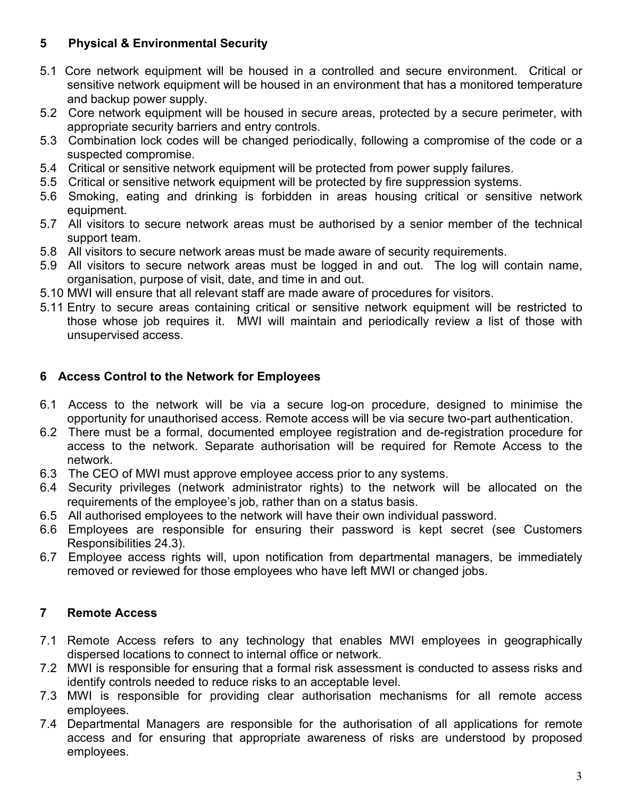# **5 Physical & Environmental Security**

- 5.1 Core network equipment will be housed in a controlled and secure environment. Critical or sensitive network equipment will be housed in an environment that has a monitored temperature and backup power supply.
- 5.2 Core network equipment will be housed in secure areas, protected by a secure perimeter, with appropriate security barriers and entry controls.
- 5.3 Combination lock codes will be changed periodically, following a compromise of the code or a suspected compromise.
- 5.4 Critical or sensitive network equipment will be protected from power supply failures.
- 5.5 Critical or sensitive network equipment will be protected by fire suppression systems.
- 5.6 Smoking, eating and drinking is forbidden in areas housing critical or sensitive network equipment.
- 5.7 All visitors to secure network areas must be authorised by a senior member of the technical support team.
- 5.8 All visitors to secure network areas must be made aware of security requirements.
- 5.9 All visitors to secure network areas must be logged in and out. The log will contain name, organisation, purpose of visit, date, and time in and out.
- 5.10 MWI will ensure that all relevant staff are made aware of procedures for visitors.
- 5.11 Entry to secure areas containing critical or sensitive network equipment will be restricted to those whose job requires it. MWI will maintain and periodically review a list of those with unsupervised access.

# **6 Access Control to the Network for Employees**

- 6.1 Access to the network will be via a secure log-on procedure, designed to minimise the opportunity for unauthorised access. Remote access will be via secure two-part authentication.
- 6.2 There must be a formal, documented employee registration and de-registration procedure for access to the network. Separate authorisation will be required for Remote Access to the network.
- 6.3 The CEO of MWI must approve employee access prior to any systems.
- 6.4 Security privileges (network administrator rights) to the network will be allocated on the requirements of the employee's job, rather than on a status basis.
- 6.5 All authorised employees to the network will have their own individual password.
- 6.6 Employees are responsible for ensuring their password is kept secret (see Customers Responsibilities 24.3).
- 6.7 Employee access rights will, upon notification from departmental managers, be immediately removed or reviewed for those employees who have left MWI or changed jobs.

# **7 Remote Access**

- 7.1 Remote Access refers to any technology that enables MWI employees in geographically dispersed locations to connect to internal office or network.
- 7.2 MWI is responsible for ensuring that a formal risk assessment is conducted to assess risks and identify controls needed to reduce risks to an acceptable level.
- 7.3 MWI is responsible for providing clear authorisation mechanisms for all remote access employees.
- 7.4 Departmental Managers are responsible for the authorisation of all applications for remote access and for ensuring that appropriate awareness of risks are understood by proposed employees.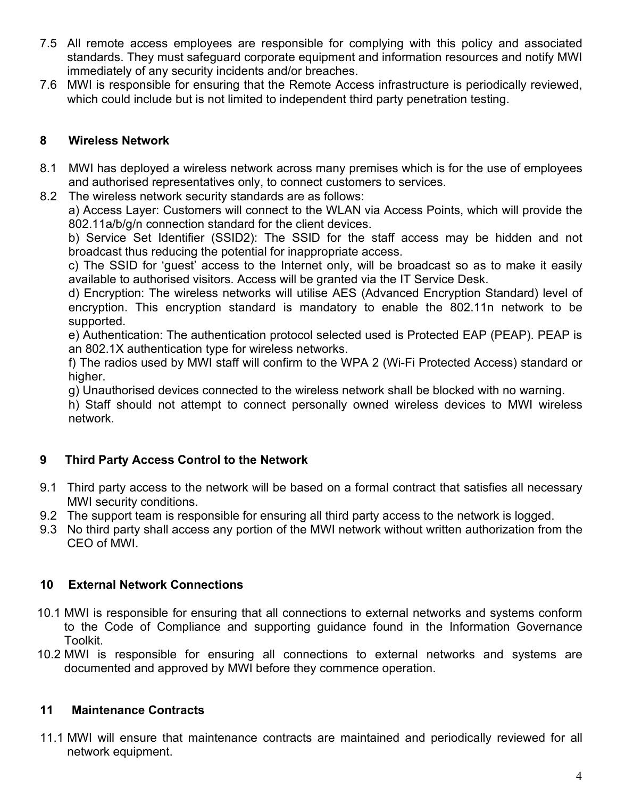- 7.5 All remote access employees are responsible for complying with this policy and associated standards. They must safeguard corporate equipment and information resources and notify MWI immediately of any security incidents and/or breaches.
- 7.6 MWI is responsible for ensuring that the Remote Access infrastructure is periodically reviewed, which could include but is not limited to independent third party penetration testing.

### **8 Wireless Network**

- 8.1 MWI has deployed a wireless network across many premises which is for the use of employees and authorised representatives only, to connect customers to services.
- 8.2 The wireless network security standards are as follows:

a) Access Layer: Customers will connect to the WLAN via Access Points, which will provide the 802.11a/b/g/n connection standard for the client devices.

b) Service Set Identifier (SSID2): The SSID for the staff access may be hidden and not broadcast thus reducing the potential for inappropriate access.

c) The SSID for 'guest' access to the Internet only, will be broadcast so as to make it easily available to authorised visitors. Access will be granted via the IT Service Desk.

d) Encryption: The wireless networks will utilise AES (Advanced Encryption Standard) level of encryption. This encryption standard is mandatory to enable the 802.11n network to be supported.

e) Authentication: The authentication protocol selected used is Protected EAP (PEAP). PEAP is an 802.1X authentication type for wireless networks.

f) The radios used by MWI staff will confirm to the WPA 2 (Wi-Fi Protected Access) standard or higher.

g) Unauthorised devices connected to the wireless network shall be blocked with no warning.

h) Staff should not attempt to connect personally owned wireless devices to MWI wireless network.

# **9 Third Party Access Control to the Network**

- 9.1 Third party access to the network will be based on a formal contract that satisfies all necessary MWI security conditions.
- 9.2 The support team is responsible for ensuring all third party access to the network is logged.
- 9.3 No third party shall access any portion of the MWI network without written authorization from the CEO of MWI.

# **10 External Network Connections**

- 10.1 MWI is responsible for ensuring that all connections to external networks and systems conform to the Code of Compliance and supporting guidance found in the Information Governance Toolkit.
- 10.2 MWI is responsible for ensuring all connections to external networks and systems are documented and approved by MWI before they commence operation.

### **11 Maintenance Contracts**

11.1 MWI will ensure that maintenance contracts are maintained and periodically reviewed for all network equipment.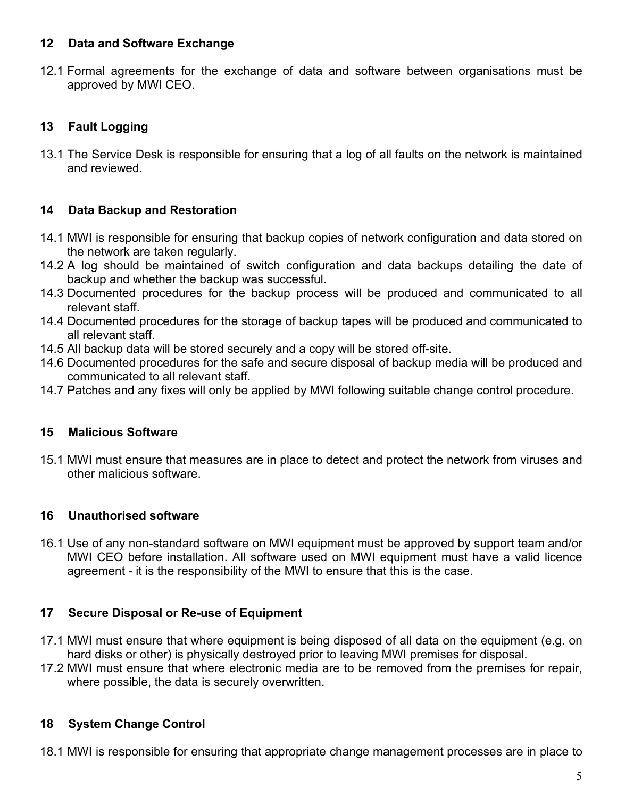### **12 Data and Software Exchange**

12.1 Formal agreements for the exchange of data and software between organisations must be approved by MWI CEO.

# **13 Fault Logging**

13.1 The Service Desk is responsible for ensuring that a log of all faults on the network is maintained and reviewed.

# **14 Data Backup and Restoration**

- 14.1 MWI is responsible for ensuring that backup copies of network configuration and data stored on the network are taken regularly.
- 14.2 A log should be maintained of switch configuration and data backups detailing the date of backup and whether the backup was successful.
- 14.3 Documented procedures for the backup process will be produced and communicated to all relevant staff.
- 14.4 Documented procedures for the storage of backup tapes will be produced and communicated to all relevant staff.
- 14.5 All backup data will be stored securely and a copy will be stored off-site.
- 14.6 Documented procedures for the safe and secure disposal of backup media will be produced and communicated to all relevant staff.
- 14.7 Patches and any fixes will only be applied by MWI following suitable change control procedure.

# **15 Malicious Software**

15.1 MWI must ensure that measures are in place to detect and protect the network from viruses and other malicious software.

# **16 Unauthorised software**

16.1 Use of any non-standard software on MWI equipment must be approved by support team and/or MWI CEO before installation. All software used on MWI equipment must have a valid licence agreement - it is the responsibility of the MWI to ensure that this is the case.

# **17 Secure Disposal or Re-use of Equipment**

- 17.1 MWI must ensure that where equipment is being disposed of all data on the equipment (e.g. on hard disks or other) is physically destroyed prior to leaving MWI premises for disposal.
- 17.2 MWI must ensure that where electronic media are to be removed from the premises for repair, where possible, the data is securely overwritten.

# **18 System Change Control**

18.1 MWI is responsible for ensuring that appropriate change management processes are in place to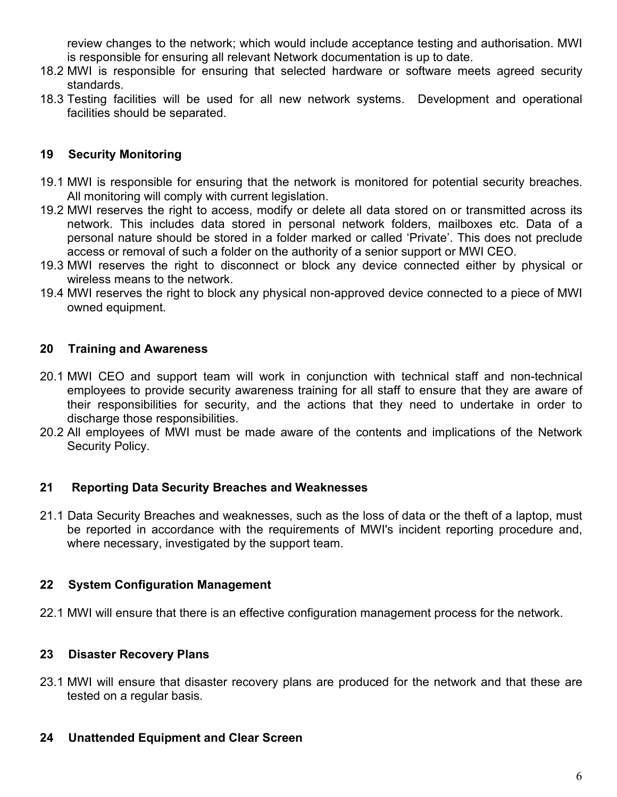review changes to the network; which would include acceptance testing and authorisation. MWI is responsible for ensuring all relevant Network documentation is up to date.

- 18.2 MWI is responsible for ensuring that selected hardware or software meets agreed security standards.
- 18.3 Testing facilities will be used for all new network systems. Development and operational facilities should be separated.

#### **19 Security Monitoring**

- 19.1 MWI is responsible for ensuring that the network is monitored for potential security breaches. All monitoring will comply with current legislation.
- 19.2 MWI reserves the right to access, modify or delete all data stored on or transmitted across its network. This includes data stored in personal network folders, mailboxes etc. Data of a personal nature should be stored in a folder marked or called 'Private'. This does not preclude access or removal of such a folder on the authority of a senior support or MWI CEO.
- 19.3 MWI reserves the right to disconnect or block any device connected either by physical or wireless means to the network.
- 19.4 MWI reserves the right to block any physical non-approved device connected to a piece of MWI owned equipment.

#### **20 Training and Awareness**

- 20.1 MWI CEO and support team will work in conjunction with technical staff and non-technical employees to provide security awareness training for all staff to ensure that they are aware of their responsibilities for security, and the actions that they need to undertake in order to discharge those responsibilities.
- 20.2 All employees of MWI must be made aware of the contents and implications of the Network Security Policy.

#### **21 Reporting Data Security Breaches and Weaknesses**

21.1 Data Security Breaches and weaknesses, such as the loss of data or the theft of a laptop, must be reported in accordance with the requirements of MWI's incident reporting procedure and, where necessary, investigated by the support team.

### **22 System Configuration Management**

22.1 MWI will ensure that there is an effective configuration management process for the network.

### **23 Disaster Recovery Plans**

23.1 MWI will ensure that disaster recovery plans are produced for the network and that these are tested on a regular basis.

#### **24 Unattended Equipment and Clear Screen**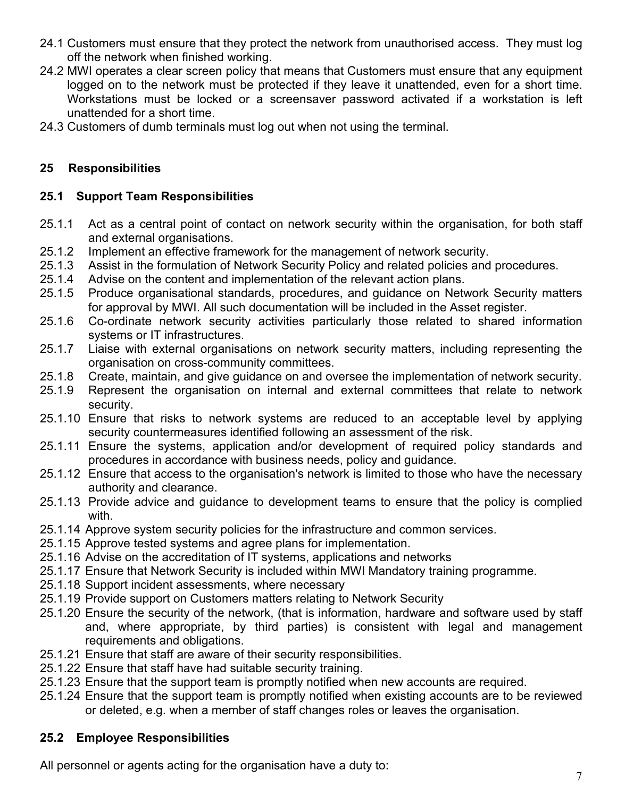- 24.1 Customers must ensure that they protect the network from unauthorised access. They must log off the network when finished working.
- 24.2 MWI operates a clear screen policy that means that Customers must ensure that any equipment logged on to the network must be protected if they leave it unattended, even for a short time. Workstations must be locked or a screensaver password activated if a workstation is left unattended for a short time.
- 24.3 Customers of dumb terminals must log out when not using the terminal.

### **25 Responsibilities**

### **25.1 Support Team Responsibilities**

- 25.1.1 Act as a central point of contact on network security within the organisation, for both staff and external organisations.
- 25.1.2 Implement an effective framework for the management of network security.<br>25.1.3 Assist in the formulation of Network Security Policy and related policies and
- Assist in the formulation of Network Security Policy and related policies and procedures.
- 25.1.4 Advise on the content and implementation of the relevant action plans.
- 25.1.5 Produce organisational standards, procedures, and guidance on Network Security matters for approval by MWI. All such documentation will be included in the Asset register.
- 25.1.6 Co-ordinate network security activities particularly those related to shared information systems or IT infrastructures.
- 25.1.7 Liaise with external organisations on network security matters, including representing the organisation on cross-community committees.
- 25.1.8 Create, maintain, and give guidance on and oversee the implementation of network security.
- 25.1.9 Represent the organisation on internal and external committees that relate to network security.
- 25.1.10 Ensure that risks to network systems are reduced to an acceptable level by applying security countermeasures identified following an assessment of the risk.
- 25.1.11 Ensure the systems, application and/or development of required policy standards and procedures in accordance with business needs, policy and guidance.
- 25.1.12 Ensure that access to the organisation's network is limited to those who have the necessary authority and clearance.
- 25.1.13 Provide advice and guidance to development teams to ensure that the policy is complied with.
- 25.1.14 Approve system security policies for the infrastructure and common services.
- 25.1.15 Approve tested systems and agree plans for implementation.
- 25.1.16 Advise on the accreditation of IT systems, applications and networks
- 25.1.17 Ensure that Network Security is included within MWI Mandatory training programme.
- 25.1.18 Support incident assessments, where necessary
- 25.1.19 Provide support on Customers matters relating to Network Security
- 25.1.20 Ensure the security of the network, (that is information, hardware and software used by staff and, where appropriate, by third parties) is consistent with legal and management requirements and obligations.
- 25.1.21 Ensure that staff are aware of their security responsibilities.
- 25.1.22 Ensure that staff have had suitable security training.
- 25.1.23 Ensure that the support team is promptly notified when new accounts are required.
- 25.1.24 Ensure that the support team is promptly notified when existing accounts are to be reviewed or deleted, e.g. when a member of staff changes roles or leaves the organisation.

### **25.2 Employee Responsibilities**

All personnel or agents acting for the organisation have a duty to: